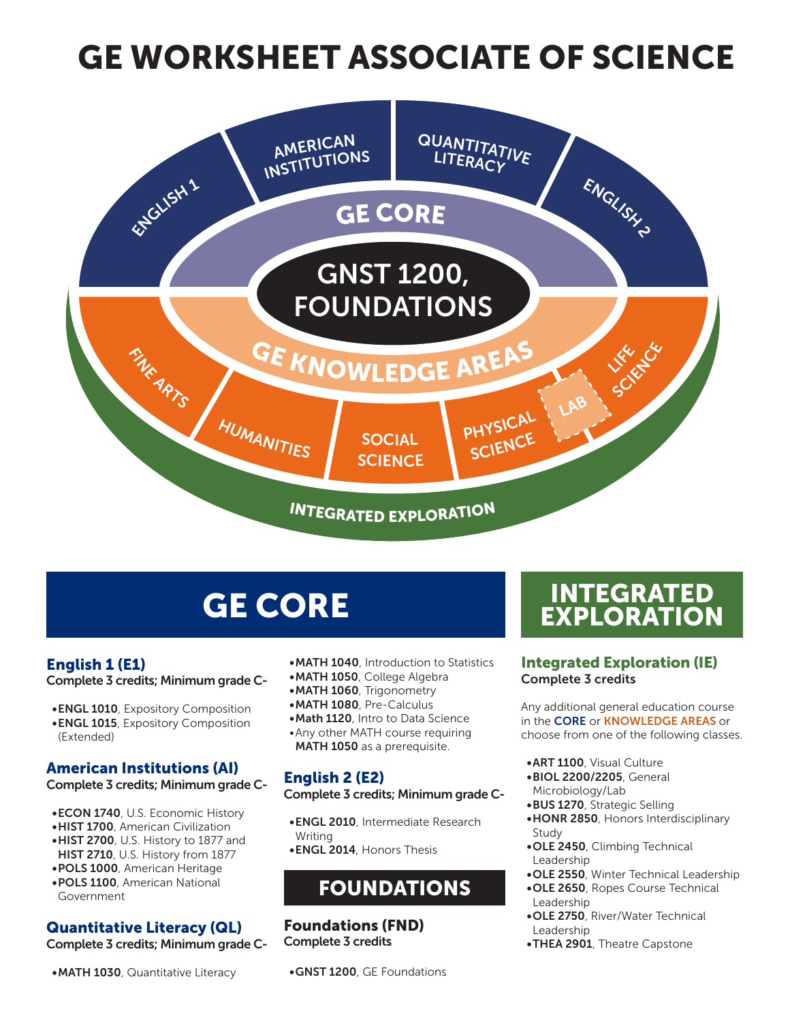# GE WORKSHEET ASSOCIATE OF SCIENCE



### English 1 (E1)

Complete 3 credits; Minimum grade C-

- •ENGL 1010, Expository Composition
- •ENGL 1015, Expository Composition (Extended)

# American Institutions (AI)

#### Complete 3 credits; Minimum grade C-

- •ECON 1740, U.S. Economic History
- •HIST 1700, American Civilization
- •HIST 2700, U.S. History to 1877 and
- HIST 2710, U.S. History from 1877 •POLS 1000, American Heritage
- •POLS 1100, American National Government

### Quantitative Literacy (QL)

Complete 3 credits; Minimum grade C-

•MATH 1030, Quantitative Literacy

- •MATH 1040, Introduction to Statistics
- •MATH 1050, College Algebra
- •MATH 1060, Trigonometry
- •MATH 1080, Pre-Calculus
- •Math 1120, Intro to Data Science
- •Any other MATH course requiring MATH 1050 as a prerequisite.

# English 2 (E2)

#### Complete 3 credits; Minimum grade C-

- •ENGL 2010, Intermediate Research **Writing**
- •ENGL 2014, Honors Thesis

# FOUNDATIONS

#### Foundations (FND) Complete 3 credits

•GNST 1200, GE Foundations

# **GE CORE THE INTEGRATED**

#### Integrated Exploration (IE) Complete 3 credits

Any additional general education course in the CORE or KNOWLEDGE AREAS or choose from one of the following classes.

- •ART 1100, Visual Culture
- •BIOL 2200/2205, General Microbiology/Lab
- •BUS 1270, Strategic Selling
- •HONR 2850, Honors Interdisciplinary Study
- •OLE 2450, Climbing Technical Leadership
- •OLE 2550, Winter Technical Leadership
- •OLE 2650, Ropes Course Technical Leadership
- •OLE 2750, River/Water Technical Leadership
- •THEA 2901, Theatre Capstone